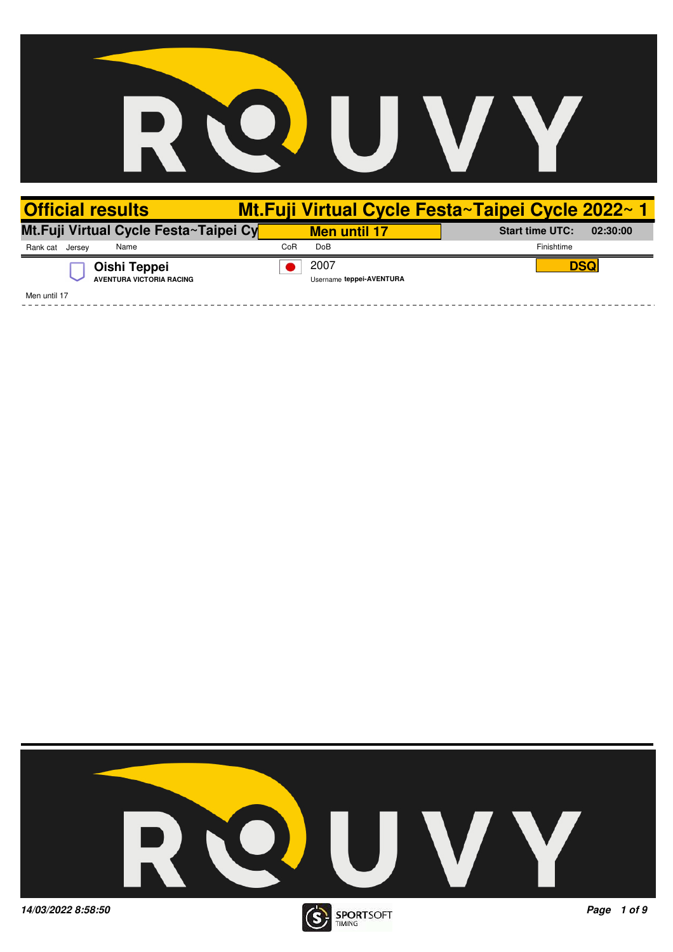

| <b>Official results</b>                         |                                  | Mt.Fuji Virtual Cycle Festa~Taipei Cycle 2022~1 |
|-------------------------------------------------|----------------------------------|-------------------------------------------------|
| Mt.Fuji Virtual Cycle Festa~Taipei Cy           | <b>Men until 17</b>              | <b>Start time UTC:</b><br>02:30:00              |
| Name<br>Rank cat Jersey                         | Do <sub>B</sub><br>CoR           | Finishtime                                      |
| Oishi Teppei<br><b>AVENTURA VICTORIA RACING</b> | 2007<br>Username teppei-AVENTURA | <b>DSQ</b>                                      |
| Men until 17                                    |                                  |                                                 |

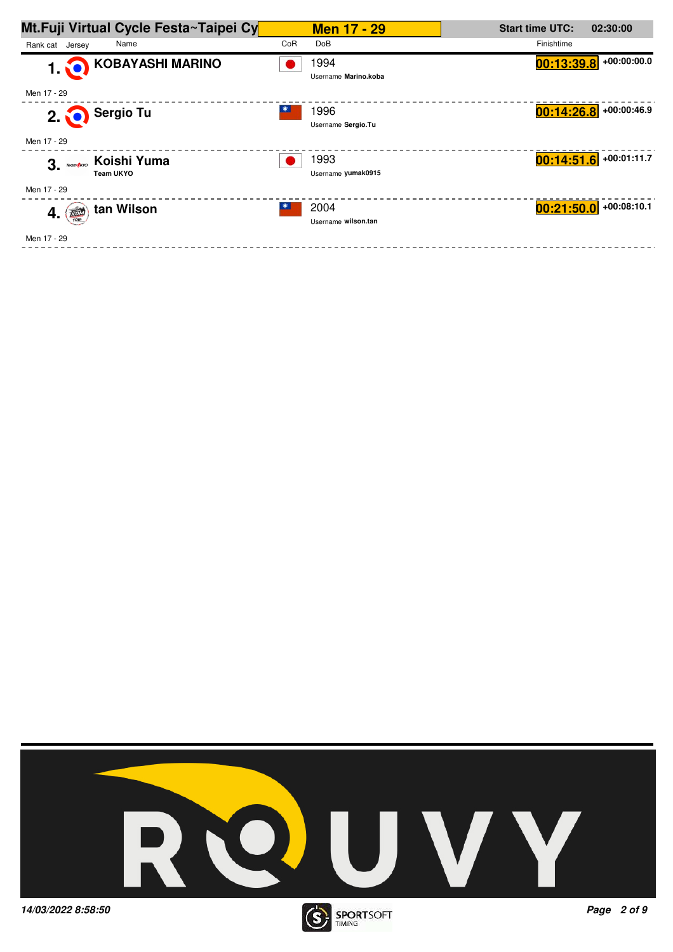

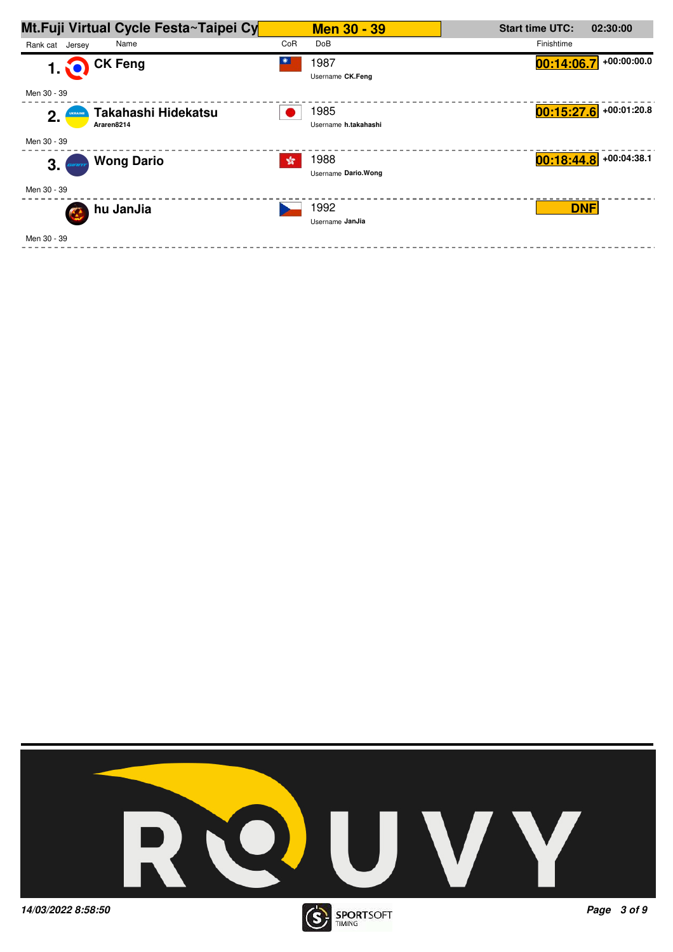

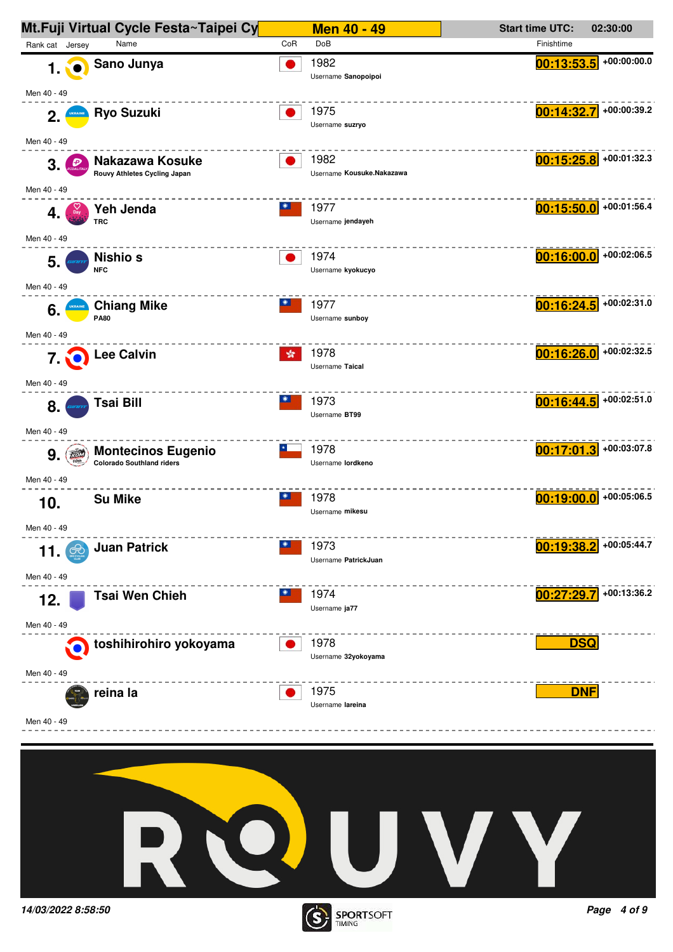

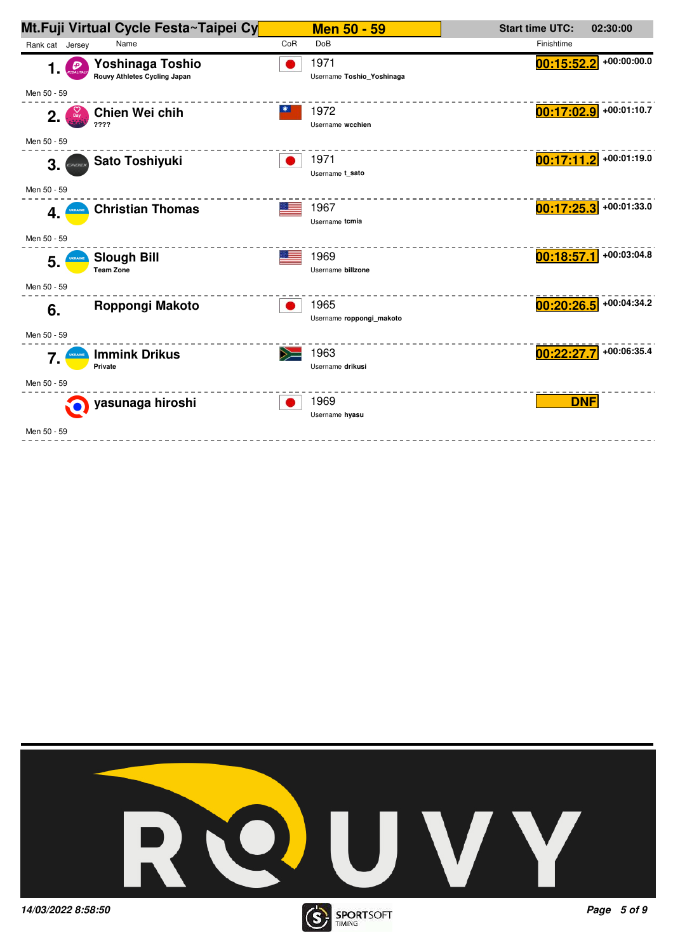|                       | Mt.Fuji Virtual Cycle Festa~Taipei Cy |     | <b>Men 50 - 59</b>        | <b>Start time UTC:</b> | 02:30:00                 |
|-----------------------|---------------------------------------|-----|---------------------------|------------------------|--------------------------|
| Rank cat Jersey       | Name                                  | CoR | DoB                       | Finishtime             |                          |
| Đ<br>1.               | Yoshinaga Toshio                      |     | 1971                      | 00:15:52.2             | +00:00:00.0              |
|                       | Rouvy Athletes Cycling Japan          |     | Username Toshio_Yoshinaga |                        |                          |
| Men 50 - 59           |                                       |     |                           |                        |                          |
| 2.<br>$_{\text{Day}}$ | Chien Wei chih                        |     | 1972                      | 00:17:02.9             | +00:01:10.7              |
|                       | ????                                  |     | Username wcchien          |                        |                          |
| Men 50 - 59           |                                       |     |                           |                        |                          |
| 3.<br>CADEX           | Sato Toshiyuki                        |     | 1971<br>Username t sato   |                        | $00:17:11.2$ +00:01:19.0 |
| Men 50 - 59           |                                       |     |                           |                        |                          |
|                       |                                       |     | 1967                      | 00:17:25.3             | +00:01:33.0              |
| 4.                    | <b>Christian Thomas</b>               |     | Username tcmia            |                        |                          |
| Men 50 - 59           |                                       |     |                           |                        |                          |
|                       | <b>Slough Bill</b>                    |     | 1969                      | 00:18:57.1             | +00:03:04.8              |
| 5.                    | <b>Team Zone</b>                      |     | Username billzone         |                        |                          |
| Men 50 - 59           |                                       |     |                           |                        |                          |
| 6.                    | Roppongi Makoto                       |     | 1965                      | 00:20:26.5             | +00:04:34.2              |
|                       |                                       |     | Username roppongi makoto  |                        |                          |
| Men 50 - 59           |                                       |     |                           |                        |                          |
| 7.<br>UKRAINE         | <b>Immink Drikus</b>                  |     | 1963                      | 00:22:27.7             | +00:06:35.4              |
|                       | Private                               |     | Username drikusi          |                        |                          |
| Men 50 - 59           |                                       |     |                           |                        |                          |
|                       | yasunaga hiroshi                      |     | 1969<br>Username hyasu    | <b>DNF</b>             |                          |
| Men 50 - 59           |                                       |     |                           |                        |                          |
|                       |                                       |     |                           |                        |                          |

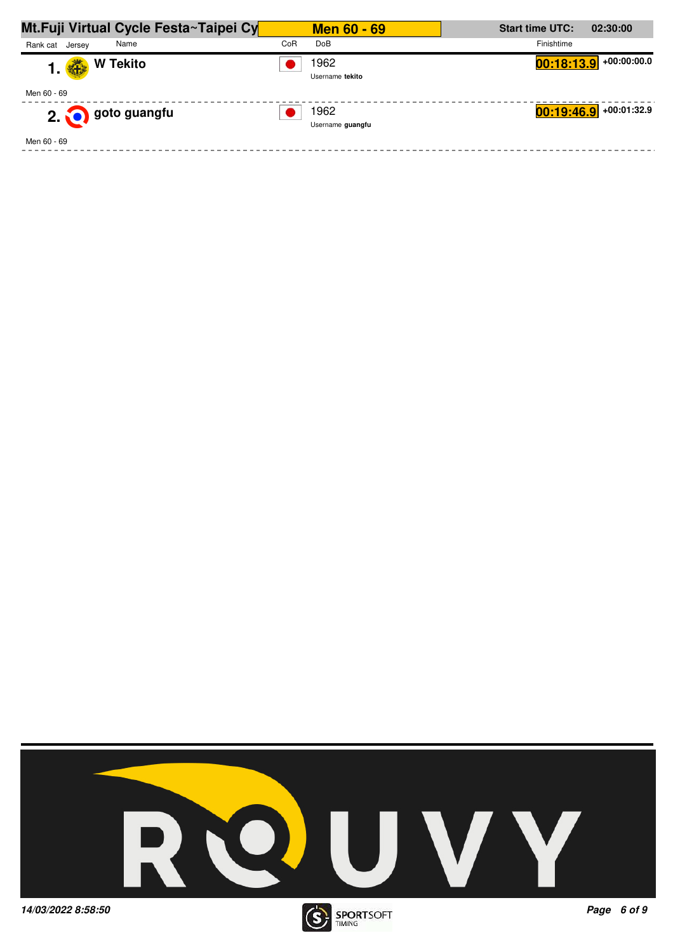| Mt.Fuji Virtual Cycle Festa~Taipei Cy | <b>Men 60 - 69</b>       | <b>Start time UTC:</b><br>02:30:00 |
|---------------------------------------|--------------------------|------------------------------------|
| Name<br>Rank cat Jersey               | CoR<br>DoB               | Finishtime                         |
| <b>W Tekito</b><br>好<br>1.            | 1962<br>Username tekito  | $00:18:13.9$ +00:00:00.0           |
| Men 60 - 69                           |                          |                                    |
| 2. O goto guangfu                     | 1962<br>Username quangfu | $00:19:46.9$ +00:01:32.9           |
| Men 60 - 69                           |                          |                                    |



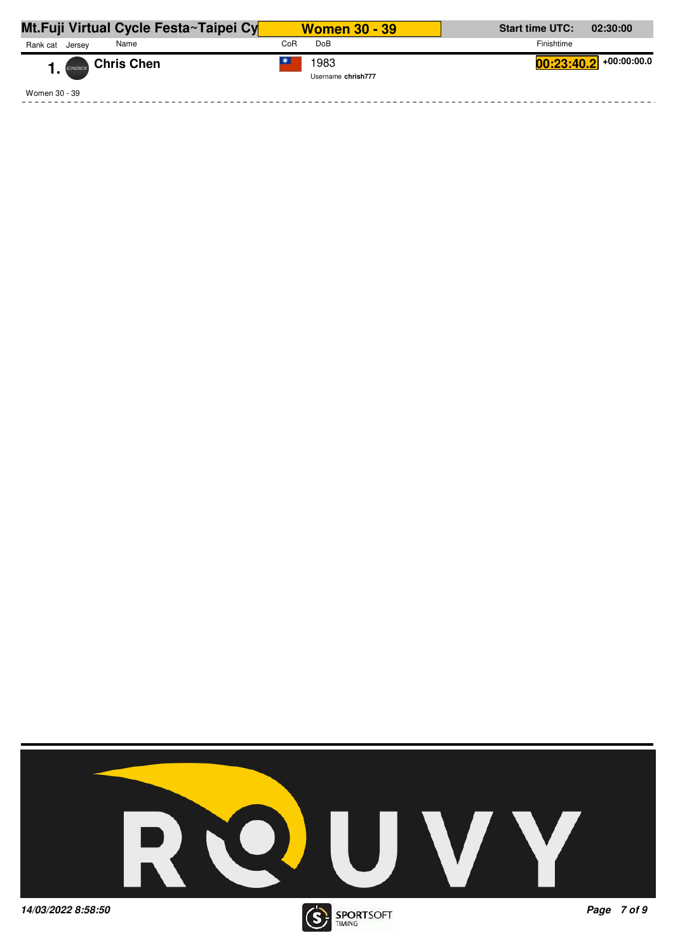| Mt.Fuji Virtual Cycle Festa~Taipei Cy | <b>Women 30 - 39</b>       | <b>Start time UTC:</b><br>02:30:00      |
|---------------------------------------|----------------------------|-----------------------------------------|
| Rank cat<br>Name<br>Jersev            | Do <sub>B</sub><br>CoR     | Finishtime                              |
| 1. CADEX Chris Chen                   | 1983<br>Username chrish777 | $\left. 00:23:40.2 \right $ +00:00:00.0 |
| Women 30 - 39                         |                            |                                         |

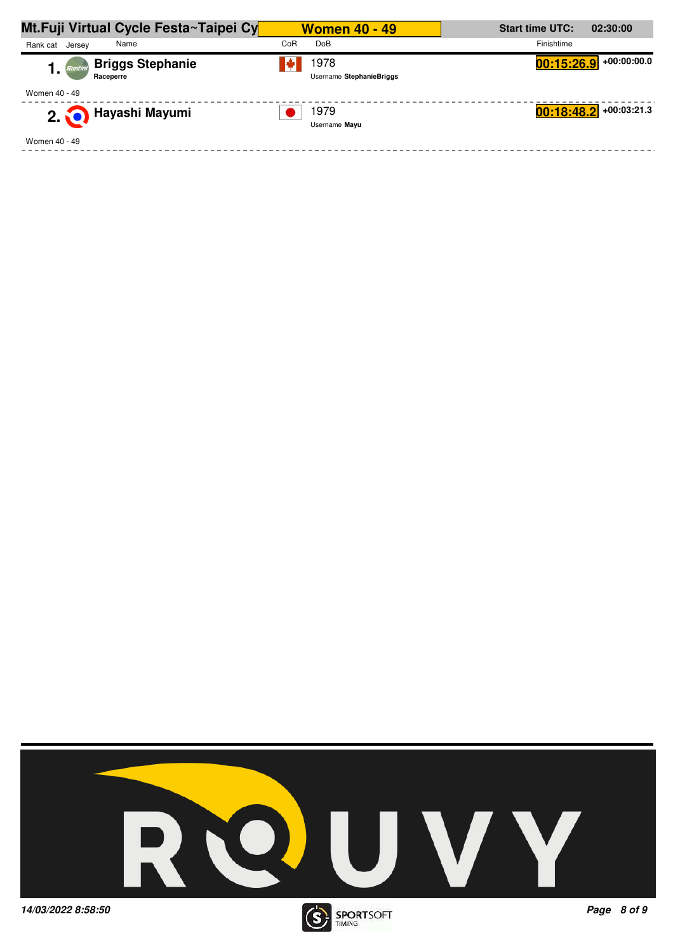| Mt.Fuji Virtual Cycle Festa~Taipei Cy                 | <b>Women 40 - 49</b>             | <b>Start time UTC:</b><br>02:30:00 |
|-------------------------------------------------------|----------------------------------|------------------------------------|
| Name<br>Rank cat Jersey                               | CoR<br>DoB                       | Finishtime                         |
| <b>Briggs Stephanie</b><br>Santini<br>ı.<br>Raceperre | 1978<br>Username StephanieBriggs | $00:15:26.9$ +00:00:00.0           |
| Women 40 - 49                                         |                                  |                                    |
| 2. <b>O Hayashi Mayumi</b>                            | 1979<br>Username Mayu            | $00:18:48.2$ +00:03:21.3           |
| Women 40 - 49                                         |                                  |                                    |